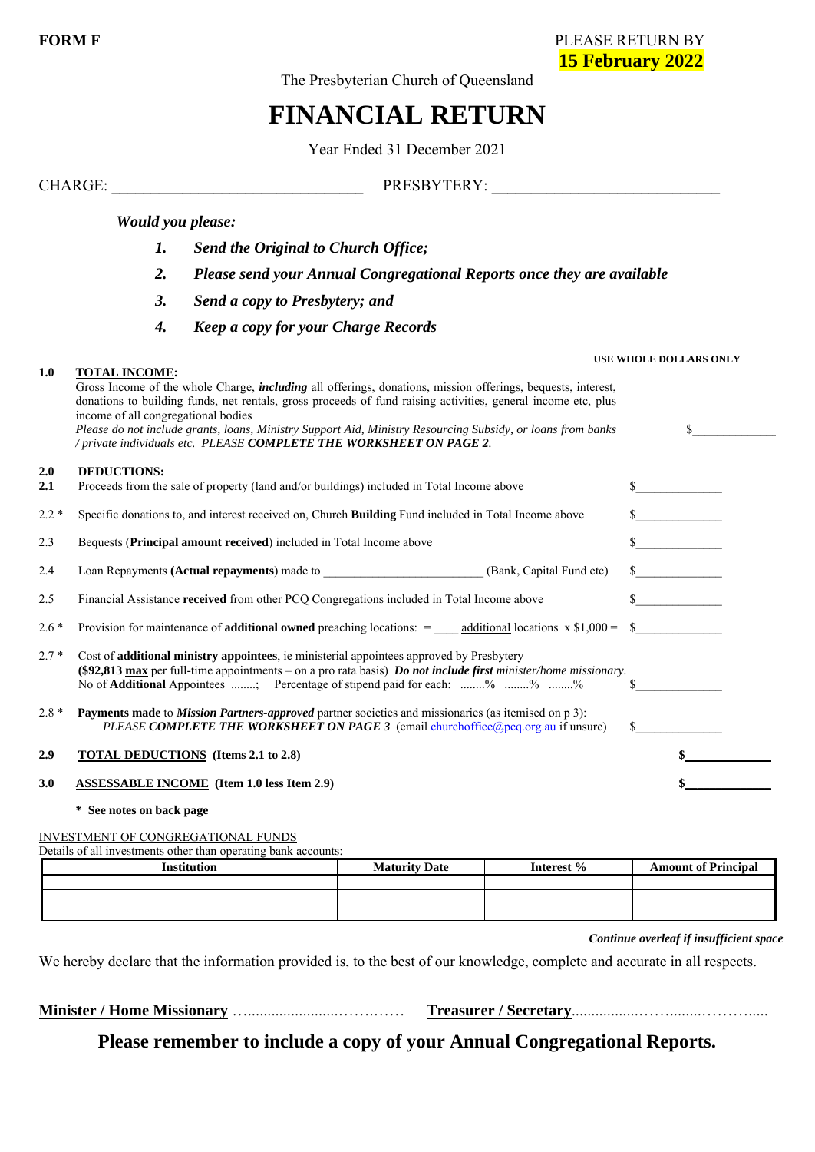**FORM F** PLEASE RETURN BY **15 February 2022**

The Presbyterian Church of Queensland

# **FINANCIAL RETURN**

Year Ended 31 December 2021

CHARGE: \_\_\_\_\_\_\_\_\_\_\_\_\_\_\_\_\_\_\_\_\_\_\_\_\_\_\_\_\_\_\_\_ PRESBYTERY: \_\_\_\_\_\_\_\_\_\_\_\_\_\_\_\_\_\_\_\_\_\_\_\_\_\_\_\_\_

#### *Would you please:*

- *1. Send the Original to Church Office;*
- *2. Please send your Annual Congregational Reports once they are available*
- *3. Send a copy to Presbytery; and*
- *4. Keep a copy for your Charge Records*

#### **1.0 TOTAL INCOME:**

#### **USE WHOLE DOLLARS ONLY**

|            | Gross Income of the whole Charge, <i>including</i> all offerings, donations, mission offerings, bequests, interest,<br>donations to building funds, net rentals, gross proceeds of fund raising activities, general income etc, plus<br>income of all congregational bodies                           |                             |
|------------|-------------------------------------------------------------------------------------------------------------------------------------------------------------------------------------------------------------------------------------------------------------------------------------------------------|-----------------------------|
|            | Please do not include grants, loans, Ministry Support Aid, Ministry Resourcing Subsidy, or loans from banks<br>/ private individuals etc. PLEASE COMPLETE THE WORKSHEET ON PAGE 2.                                                                                                                    |                             |
| 2.0<br>2.1 | <b>DEDUCTIONS:</b><br>Proceeds from the sale of property (land and/or buildings) included in Total Income above                                                                                                                                                                                       |                             |
| $2.2*$     | Specific donations to, and interest received on, Church Building Fund included in Total Income above                                                                                                                                                                                                  | $\frac{\text{S}}{\text{S}}$ |
| 2.3        | Bequests (Principal amount received) included in Total Income above                                                                                                                                                                                                                                   | $\sim$                      |
| 2.4        |                                                                                                                                                                                                                                                                                                       | $\sim$                      |
| 2.5        | Financial Assistance received from other PCQ Congregations included in Total Income above                                                                                                                                                                                                             | $\sim$                      |
| $2.6*$     | Provision for maintenance of <b>additional owned</b> preaching locations: $=$ additional locations $x$ \$1,000 =                                                                                                                                                                                      | $\mathbb{S}$                |
| $2.7*$     | Cost of <b>additional ministry appointees</b> , ie ministerial appointees approved by Presbytery<br>(\$92,813 max per full-time appointments – on a pro rata basis) Do not include first minister/home missionary.<br>No of <b>Additional</b> Appointees ; Percentage of stipend paid for each: % % % |                             |
| $2.8*$     | <b>Payments made</b> to <i>Mission Partners-approved</i> partner societies and missionaries (as itemised on p 3):<br>PLEASE COMPLETE THE WORKSHEET ON PAGE 3 (email churchoffice $Q_{\text{PCQ-org.au}}$ if unsure)                                                                                   | $\mathbb{S}$                |
| 2.9        | <b>TOTAL DEDUCTIONS</b> (Items 2.1 to 2.8)                                                                                                                                                                                                                                                            |                             |
| 3.0        | <b>ASSESSABLE INCOME</b> (Item 1.0 less Item 2.9)                                                                                                                                                                                                                                                     |                             |

**\* See notes on back page**

INVESTMENT OF CONGREGATIONAL FUNDS

Details of all investments other than operating bank accounts:

| <b>Institution</b> | <b>Maturity Date</b> | Interest % | <b>Amount of Principal</b> |
|--------------------|----------------------|------------|----------------------------|
|                    |                      |            |                            |
|                    |                      |            |                            |
|                    |                      |            |                            |

*Continue overleaf if insufficient space*

We hereby declare that the information provided is, to the best of our knowledge, complete and accurate in all respects.

**Minister / Home Missionary** ….......................…….…… **Treasurer / Secretary**.................……........……….....

# **Please remember to include a copy of your Annual Congregational Reports.**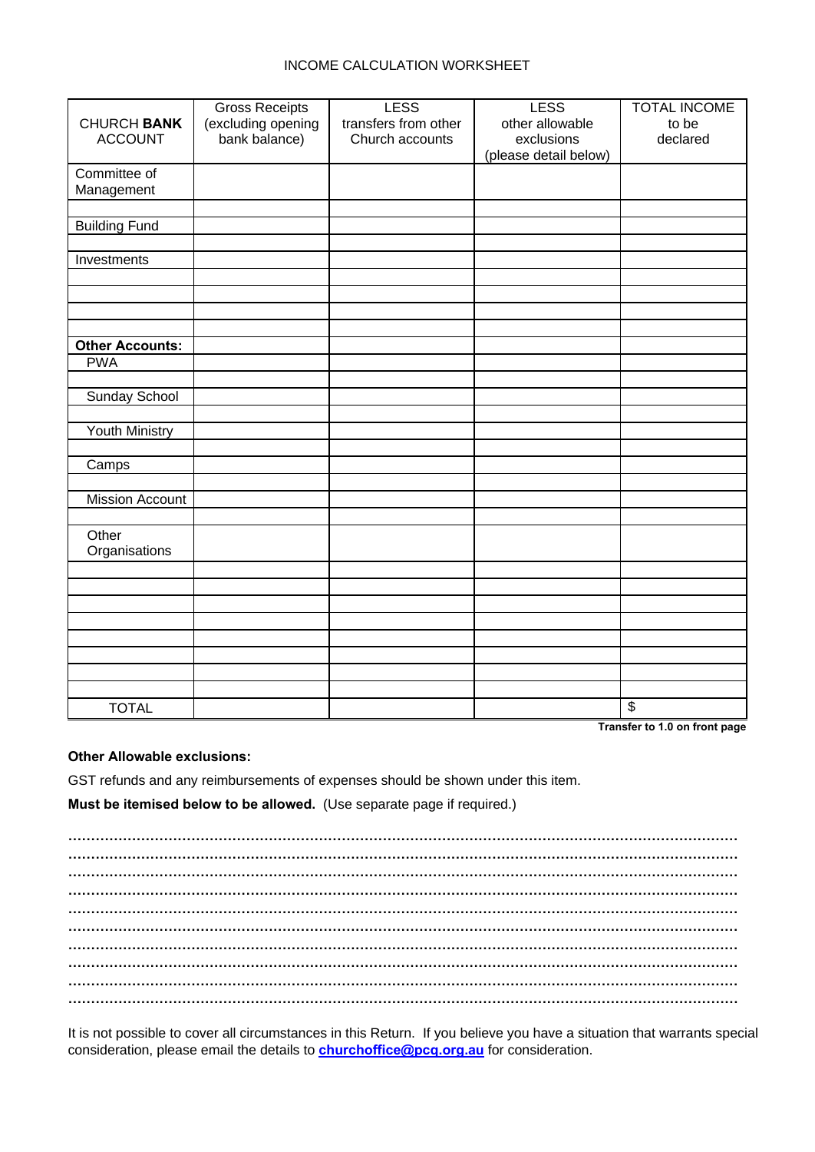#### INCOME CALCULATION WORKSHEET

|                        | <b>Gross Receipts</b> | <b>LESS</b>          | <b>LESS</b>           | <b>TOTAL INCOME</b>   |
|------------------------|-----------------------|----------------------|-----------------------|-----------------------|
| <b>CHURCH BANK</b>     | (excluding opening    | transfers from other | other allowable       | to be                 |
| <b>ACCOUNT</b>         | bank balance)         | Church accounts      | exclusions            | declared              |
|                        |                       |                      | (please detail below) |                       |
| Committee of           |                       |                      |                       |                       |
| Management             |                       |                      |                       |                       |
|                        |                       |                      |                       |                       |
|                        |                       |                      |                       |                       |
| <b>Building Fund</b>   |                       |                      |                       |                       |
|                        |                       |                      |                       |                       |
| Investments            |                       |                      |                       |                       |
|                        |                       |                      |                       |                       |
|                        |                       |                      |                       |                       |
|                        |                       |                      |                       |                       |
| <b>Other Accounts:</b> |                       |                      |                       |                       |
| <b>PWA</b>             |                       |                      |                       |                       |
|                        |                       |                      |                       |                       |
| Sunday School          |                       |                      |                       |                       |
|                        |                       |                      |                       |                       |
| Youth Ministry         |                       |                      |                       |                       |
|                        |                       |                      |                       |                       |
| Camps                  |                       |                      |                       |                       |
|                        |                       |                      |                       |                       |
| <b>Mission Account</b> |                       |                      |                       |                       |
|                        |                       |                      |                       |                       |
| Other<br>Organisations |                       |                      |                       |                       |
|                        |                       |                      |                       |                       |
|                        |                       |                      |                       |                       |
|                        |                       |                      |                       |                       |
|                        |                       |                      |                       |                       |
|                        |                       |                      |                       |                       |
|                        |                       |                      |                       |                       |
|                        |                       |                      |                       |                       |
|                        |                       |                      |                       |                       |
| <b>TOTAL</b>           |                       |                      |                       | $\boldsymbol{\theta}$ |

**Transfer to 1.0 on front page**

#### **Other Allowable exclusions:**

GST refunds and any reimbursements of expenses should be shown under this item.

**Must be itemised below to be allowed.** (Use separate page if required.)

**………………………………………………………………………………………………………………………………… ………………………………………………………………………………………………………………………………… ………………………………………………………………………………………………………………………………… ………………………………………………………………………………………………………………………………… ………………………………………………………………………………………………………………………………… ………………………………………………………………………………………………………………………………… ………………………………………………………………………………………………………………………………… ………………………………………………………………………………………………………………………………… ………………………………………………………………………………………………………………………………… …………………………………………………………………………………………………………………………………**

It is not possible to cover all circumstances in this Return. If you believe you have a situation that warrants special consideration, please email the details to **[churchoffice@pcq.org.au](mailto:churchoffice@pcq.org.au)** for consideration.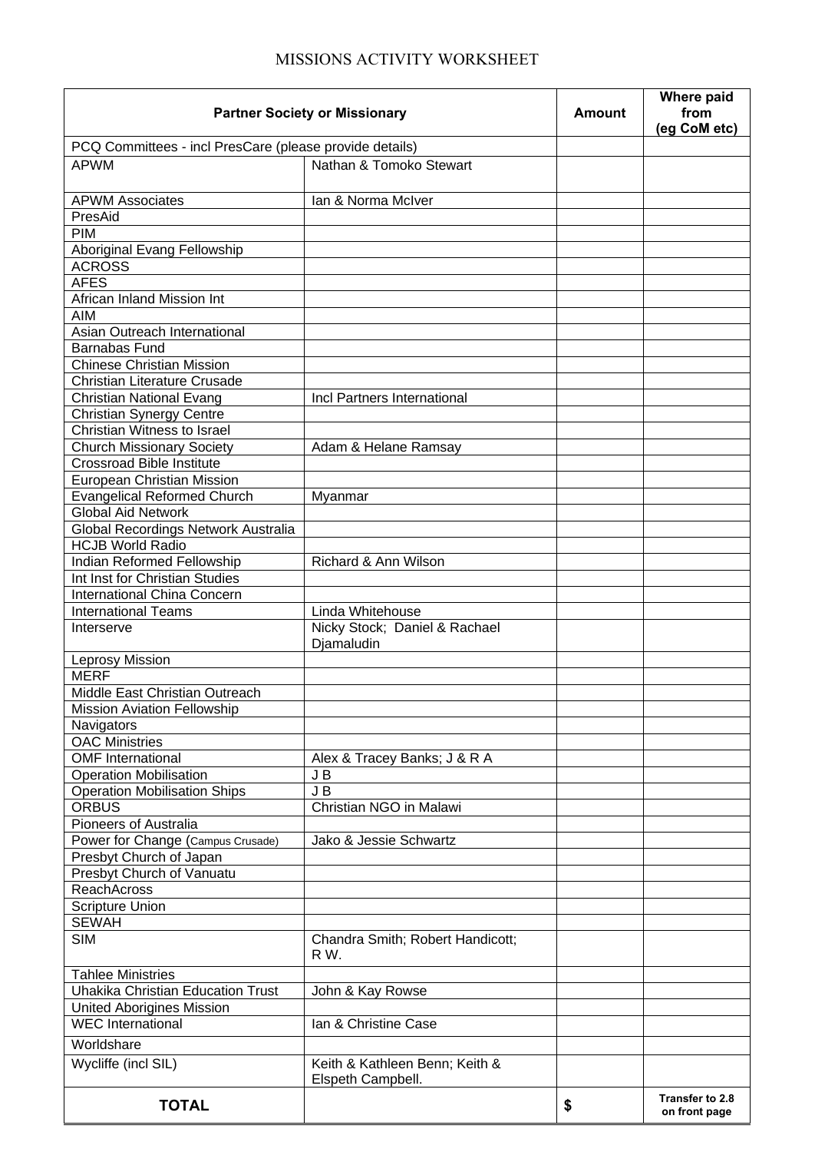# MISSIONS ACTIVITY WORKSHEET

| <b>Partner Society or Missionary</b>                    | <b>Amount</b>                               | <b>Where paid</b><br>from<br>(eg CoM etc) |                                  |
|---------------------------------------------------------|---------------------------------------------|-------------------------------------------|----------------------------------|
| PCQ Committees - incl PresCare (please provide details) |                                             |                                           |                                  |
| <b>APWM</b>                                             | Nathan & Tomoko Stewart                     |                                           |                                  |
| <b>APWM Associates</b>                                  | lan & Norma McIver                          |                                           |                                  |
| PresAid                                                 |                                             |                                           |                                  |
| <b>PIM</b>                                              |                                             |                                           |                                  |
| Aboriginal Evang Fellowship                             |                                             |                                           |                                  |
| <b>ACROSS</b>                                           |                                             |                                           |                                  |
| <b>AFES</b>                                             |                                             |                                           |                                  |
| African Inland Mission Int                              |                                             |                                           |                                  |
| <b>AIM</b>                                              |                                             |                                           |                                  |
| Asian Outreach International                            |                                             |                                           |                                  |
| <b>Barnabas Fund</b>                                    |                                             |                                           |                                  |
| <b>Chinese Christian Mission</b>                        |                                             |                                           |                                  |
| Christian Literature Crusade                            |                                             |                                           |                                  |
| Christian National Evang                                | Incl Partners International                 |                                           |                                  |
| <b>Christian Synergy Centre</b>                         |                                             |                                           |                                  |
| Christian Witness to Israel                             |                                             |                                           |                                  |
| <b>Church Missionary Society</b>                        | Adam & Helane Ramsay                        |                                           |                                  |
| <b>Crossroad Bible Institute</b>                        |                                             |                                           |                                  |
| European Christian Mission                              |                                             |                                           |                                  |
| <b>Evangelical Reformed Church</b>                      | Myanmar                                     |                                           |                                  |
| <b>Global Aid Network</b>                               |                                             |                                           |                                  |
| Global Recordings Network Australia                     |                                             |                                           |                                  |
| <b>HCJB World Radio</b>                                 |                                             |                                           |                                  |
| Indian Reformed Fellowship                              | Richard & Ann Wilson                        |                                           |                                  |
| Int Inst for Christian Studies                          |                                             |                                           |                                  |
| International China Concern                             |                                             |                                           |                                  |
| <b>International Teams</b>                              | Linda Whitehouse                            |                                           |                                  |
| Interserve                                              | Nicky Stock; Daniel & Rachael<br>Djamaludin |                                           |                                  |
| Leprosy Mission                                         |                                             |                                           |                                  |
| <b>MERF</b>                                             |                                             |                                           |                                  |
| Middle East Christian Outreach                          |                                             |                                           |                                  |
| <b>Mission Aviation Fellowship</b>                      |                                             |                                           |                                  |
| Navigators                                              |                                             |                                           |                                  |
| <b>OAC Ministries</b>                                   |                                             |                                           |                                  |
| <b>OMF</b> International                                | Alex & Tracey Banks; J & R A                |                                           |                                  |
| <b>Operation Mobilisation</b>                           | JB                                          |                                           |                                  |
| <b>Operation Mobilisation Ships</b>                     | J B                                         |                                           |                                  |
| <b>ORBUS</b>                                            | Christian NGO in Malawi                     |                                           |                                  |
| Pioneers of Australia                                   |                                             |                                           |                                  |
| Power for Change (Campus Crusade)                       | Jako & Jessie Schwartz                      |                                           |                                  |
| Presbyt Church of Japan                                 |                                             |                                           |                                  |
| Presbyt Church of Vanuatu<br><b>ReachAcross</b>         |                                             |                                           |                                  |
| <b>Scripture Union</b>                                  |                                             |                                           |                                  |
| <b>SEWAH</b>                                            |                                             |                                           |                                  |
| <b>SIM</b>                                              | Chandra Smith; Robert Handicott;            |                                           |                                  |
|                                                         | R W.                                        |                                           |                                  |
| <b>Tahlee Ministries</b>                                |                                             |                                           |                                  |
| <b>Uhakika Christian Education Trust</b>                | John & Kay Rowse                            |                                           |                                  |
| <b>United Aborigines Mission</b>                        |                                             |                                           |                                  |
| <b>WEC</b> International                                | Ian & Christine Case                        |                                           |                                  |
| Worldshare                                              |                                             |                                           |                                  |
| Wycliffe (incl SIL)                                     | Keith & Kathleen Benn; Keith &              |                                           |                                  |
|                                                         | Elspeth Campbell.                           |                                           |                                  |
| <b>TOTAL</b>                                            |                                             | \$                                        | Transfer to 2.8<br>on front page |